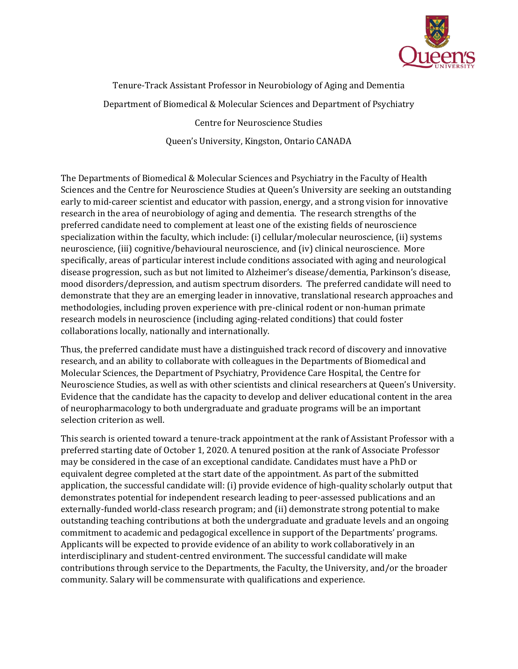

Tenure-Track Assistant Professor in Neurobiology of Aging and Dementia Department of Biomedical & Molecular Sciences and Department of Psychiatry Centre for Neuroscience Studies

Queen's University, Kingston, Ontario CANADA

The Departments of Biomedical & Molecular Sciences and Psychiatry in the Faculty of Health Sciences and the Centre for Neuroscience Studies at Queen's University are seeking an outstanding early to mid-career scientist and educator with passion, energy, and a strong vision for innovative research in the area of neurobiology of aging and dementia. The research strengths of the preferred candidate need to complement at least one of the existing fields of neuroscience specialization within the faculty, which include: (i) cellular/molecular neuroscience, (ii) systems neuroscience, (iii) cognitive/behavioural neuroscience, and (iv) clinical neuroscience. More specifically, areas of particular interest include conditions associated with aging and neurological disease progression, such as but not limited to Alzheimer's disease/dementia, Parkinson's disease, mood disorders/depression, and autism spectrum disorders. The preferred candidate will need to demonstrate that they are an emerging leader in innovative, translational research approaches and methodologies, including proven experience with pre-clinical rodent or non-human primate research models in neuroscience (including aging-related conditions) that could foster collaborations locally, nationally and internationally.

Thus, the preferred candidate must have a distinguished track record of discovery and innovative research, and an ability to collaborate with colleagues in the Departments of Biomedical and Molecular Sciences, the Department of Psychiatry, Providence Care Hospital, the Centre for Neuroscience Studies, as well as with other scientists and clinical researchers at Queen's University. Evidence that the candidate has the capacity to develop and deliver educational content in the area of neuropharmacology to both undergraduate and graduate programs will be an important selection criterion as well.

This search is oriented toward a tenure-track appointment at the rank of Assistant Professor with a preferred starting date of October 1, 2020. A tenured position at the rank of Associate Professor may be considered in the case of an exceptional candidate. Candidates must have a PhD or equivalent degree completed at the start date of the appointment. As part of the submitted application, the successful candidate will: (i) provide evidence of high-quality scholarly output that demonstrates potential for independent research leading to peer-assessed publications and an externally-funded world-class research program; and (ii) demonstrate strong potential to make outstanding teaching contributions at both the undergraduate and graduate levels and an ongoing commitment to academic and pedagogical excellence in support of the Departments' programs. Applicants will be expected to provide evidence of an ability to work collaboratively in an interdisciplinary and student-centred environment. The successful candidate will make contributions through service to the Departments, the Faculty, the University, and/or the broader community. Salary will be commensurate with qualifications and experience.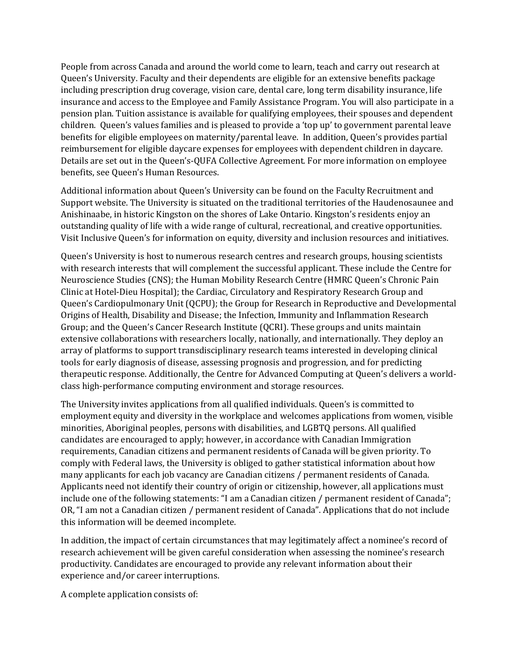People from across Canada and around the world come to learn, teach and carry out research at Queen's University. Faculty and their dependents are eligible for an extensive benefits package including prescription drug coverage, vision care, dental care, long term disability insurance, life insurance and access to the Employee and Family Assistance Program. You will also participate in a pension plan. Tuition assistance is available for qualifying employees, their spouses and dependent children. Queen's values families and is pleased to provide a 'top up' to government parental leave benefits for eligible employees on maternity/parental leave. In addition, Queen's provides partial reimbursement for eligible daycare expenses for employees with dependent children in daycare. Details are set out in the Queen's-QUFA Collective Agreement. For more information on employee benefits, see Queen's Human Resources.

Additional information about Queen's University can be found on the Faculty Recruitment and Support website. The University is situated on the traditional territories of the Haudenosaunee and Anishinaabe, in historic Kingston on the shores of Lake Ontario. Kingston's residents enjoy an outstanding quality of life with a wide range of cultural, recreational, and creative opportunities. Visit Inclusive Queen's for information on equity, diversity and inclusion resources and initiatives.

Queen's University is host to numerous research centres and research groups, housing scientists with research interests that will complement the successful applicant. These include the Centre for Neuroscience Studies (CNS); the Human Mobility Research Centre (HMRC Queen's Chronic Pain Clinic at Hotel-Dieu Hospital); the Cardiac, Circulatory and Respiratory Research Group and Queen's Cardiopulmonary Unit (QCPU); the Group for Research in Reproductive and Developmental Origins of Health, Disability and Disease; the Infection, Immunity and Inflammation Research Group; and the Queen's Cancer Research Institute (QCRI). These groups and units maintain extensive collaborations with researchers locally, nationally, and internationally. They deploy an array of platforms to support transdisciplinary research teams interested in developing clinical tools for early diagnosis of disease, assessing prognosis and progression, and for predicting therapeutic response. Additionally, the Centre for Advanced Computing at Queen's delivers a worldclass high-performance computing environment and storage resources.

The University invites applications from all qualified individuals. Queen's is committed to employment equity and diversity in the workplace and welcomes applications from women, visible minorities, Aboriginal peoples, persons with disabilities, and LGBTQ persons. All qualified candidates are encouraged to apply; however, in accordance with Canadian Immigration requirements, Canadian citizens and permanent residents of Canada will be given priority. To comply with Federal laws, the University is obliged to gather statistical information about how many applicants for each job vacancy are Canadian citizens / permanent residents of Canada. Applicants need not identify their country of origin or citizenship, however, all applications must include one of the following statements: "I am a Canadian citizen / permanent resident of Canada"; OR, "I am not a Canadian citizen / permanent resident of Canada". Applications that do not include this information will be deemed incomplete.

In addition, the impact of certain circumstances that may legitimately affect a nominee's record of research achievement will be given careful consideration when assessing the nominee's research productivity. Candidates are encouraged to provide any relevant information about their experience and/or career interruptions.

A complete application consists of: